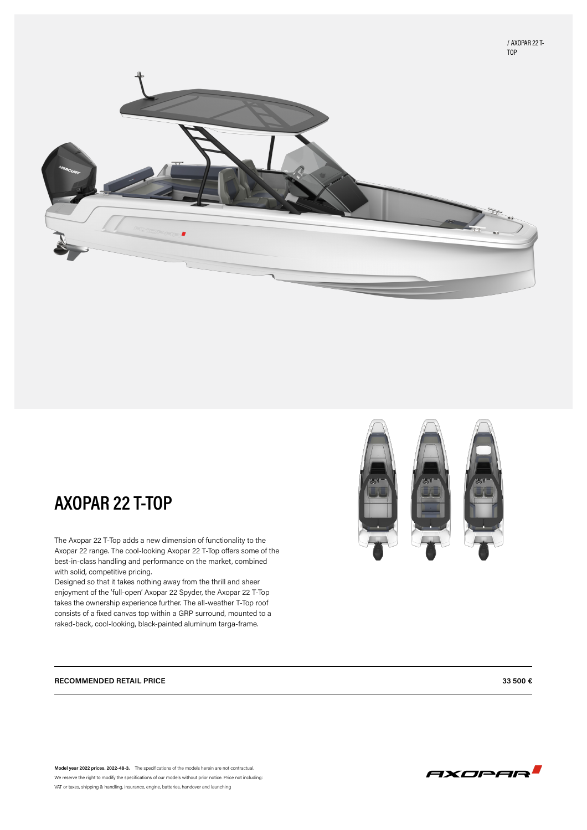



# **AXOPAR 22 T-TOP**

The Axopar 22 T-Top adds a new dimension of functionality to the Axopar 22 range. The cool-looking Axopar 22 T-Top offers some of the best-in-class handling and performance on the market, combined with solid, competitive pricing.

Designed so that it takes nothing away from the thrill and sheer enjoyment of the 'full-open' Axopar 22 Spyder, the Axopar 22 T-Top takes the ownership experience further. The all-weather T-Top roof consists of a fixed canvas top within a GRP surround, mounted to a raked-back, cool-looking, black-painted aluminum targa-frame.

#### **RECOMMENDED RETAIL PRICE 33 500 €**

**Model year 2022 prices. 2022-48-3.** The specifications of the models herein are not contractual. We reserve the right to modify the specifications of our models without prior notice. Price not including: VAT or taxes, shipping & handling, insurance, engine, batteries, handover and launching

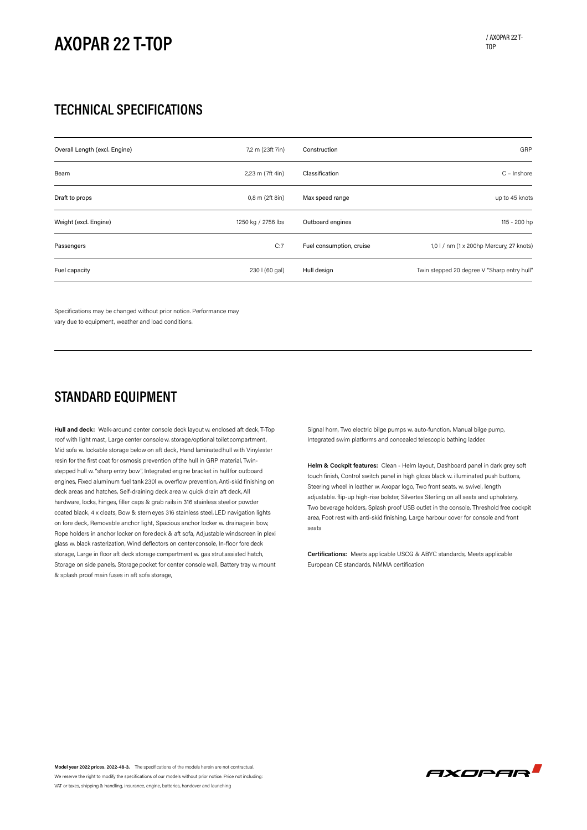# **AXOPAR 22 T-TOP**

### **TECHNICAL SPECIFICATIONS**

| Overall Length (excl. Engine) | 7,2 m (23ft 7in)   | Construction             | GRP                                         |
|-------------------------------|--------------------|--------------------------|---------------------------------------------|
| Beam                          | 2,23 m (7ft 4in)   | Classification           | C - Inshore                                 |
| Draft to props                | $0,8$ m (2ft 8in)  | Max speed range          | up to 45 knots                              |
| Weight (excl. Engine)         | 1250 kg / 2756 lbs | Outboard engines         | 115 - 200 hp                                |
| Passengers                    | C:7                | Fuel consumption, cruise | 1,0 l / nm (1 x 200hp Mercury, 27 knots)    |
| Fuel capacity                 | 230   (60 gal)     | Hull design              | Twin stepped 20 degree V "Sharp entry hull" |

Specifications may be changed without prior notice. Performance may vary due to equipment, weather and load conditions.

### **STANDARD EQUIPMENT**

**Hull and deck:** Walk-around center console deck layout w. enclosed aft deck,T-Top roof with light mast, Large center consolew. storage/optional toiletcompartment, Mid sofa w. lockable storage below on aft deck, Hand laminatedhull with Vinylester resin for the first coat for osmosis prevention of the hull in GRP material, Twinstepped hull w. "sharp entry bow", Integrated engine bracket in hull for outboard engines, Fixed aluminum fuel tank 230l w. overflow prevention,Anti-skid finishing on deck areas and hatches, Self-draining deck area w. quick drain aft deck, All hardware, locks, hinges, filler caps & grab rails in 316 stainless steel or powder coated black, 4 x cleats, Bow & stern eyes 316 stainless steel,LED navigation lights on fore deck, Removable anchor light, Spacious anchor locker w. drainage in bow, Rope holders in anchor locker on fore deck & aft sofa, Adjustable windscreen in plexi glass w. black rasterization, Wind deflectors on center console, In-floor fore deck storage, Large in floor aft deck storage compartment w. gas strutassisted hatch, Storage on side panels, Storage pocket for center console wall, Battery tray w. mount & splash proof main fuses in aft sofa storage,

Signal horn, Two electric bilge pumps w. auto-function, Manual bilge pump, Integrated swim platforms and concealed telescopic bathing ladder.

**Helm & Cockpit features:** Clean - Helm layout, Dashboard panel in dark grey soft touch finish, Control switch panel in high gloss black w. illuminated push buttons, Steering wheel in leather w. Axopar logo, Two front seats, w. swivel, length adjustable. flip-up high-rise bolster, Silvertex Sterling on all seats and upholstery, Two beverage holders, Splash proof USB outlet in the console, Threshold free cockpit area, Foot rest with anti-skid finishing, Large harbour cover for console and front seats

**Certifications:** Meets applicable USCG & ABYC standards, Meets applicable European CE standards, NMMA certification



**Model year 2022 prices. 2022-48-3.** The specifications of the models herein are not contractual. We reserve the right to modify the specifications of our models without prior notice. Price not including: VAT or taxes, shipping & handling, insurance, engine, batteries, handover and launching